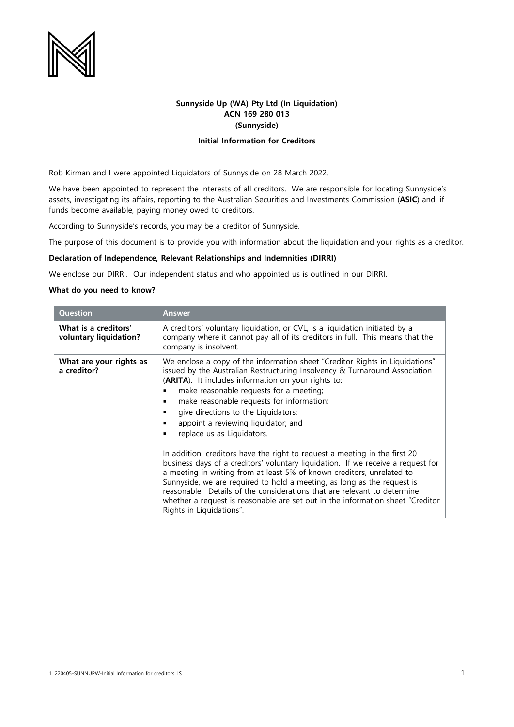

## **Sunnyside Up (WA) Pty Ltd (In Liquidation) ACN 169 280 013 (Sunnyside)**

## **Initial Information for Creditors**

Rob Kirman and I were appointed Liquidators of Sunnyside on 28 March 2022.

We have been appointed to represent the interests of all creditors. We are responsible for locating Sunnyside's assets, investigating its affairs, reporting to the Australian Securities and Investments Commission (**ASIC**) and, if funds become available, paying money owed to creditors.

According to Sunnyside's records, you may be a creditor of Sunnyside.

The purpose of this document is to provide you with information about the liquidation and your rights as a creditor.

## **Declaration of Independence, Relevant Relationships and Indemnities (DIRRI)**

We enclose our DIRRI. Our independent status and who appointed us is outlined in our DIRRI.

## **What do you need to know?**

| <b>Question</b>                                | Answer                                                                                                                                                                                                                                                                                                                                                                                                                                                                                                                                                                                                                                                                                                                                                                                                                                                                                                                                  |
|------------------------------------------------|-----------------------------------------------------------------------------------------------------------------------------------------------------------------------------------------------------------------------------------------------------------------------------------------------------------------------------------------------------------------------------------------------------------------------------------------------------------------------------------------------------------------------------------------------------------------------------------------------------------------------------------------------------------------------------------------------------------------------------------------------------------------------------------------------------------------------------------------------------------------------------------------------------------------------------------------|
| What is a creditors'<br>voluntary liquidation? | A creditors' voluntary liquidation, or CVL, is a liquidation initiated by a<br>company where it cannot pay all of its creditors in full. This means that the<br>company is insolvent.                                                                                                                                                                                                                                                                                                                                                                                                                                                                                                                                                                                                                                                                                                                                                   |
| What are your rights as<br>a creditor?         | We enclose a copy of the information sheet "Creditor Rights in Liquidations"<br>issued by the Australian Restructuring Insolvency & Turnaround Association<br>(ARITA). It includes information on your rights to:<br>make reasonable requests for a meeting;<br>make reasonable requests for information;<br>give directions to the Liquidators;<br>appoint a reviewing liquidator; and<br>replace us as Liquidators.<br>In addition, creditors have the right to request a meeting in the first 20<br>business days of a creditors' voluntary liquidation. If we receive a request for<br>a meeting in writing from at least 5% of known creditors, unrelated to<br>Sunnyside, we are required to hold a meeting, as long as the request is<br>reasonable. Details of the considerations that are relevant to determine<br>whether a request is reasonable are set out in the information sheet "Creditor"<br>Rights in Liquidations". |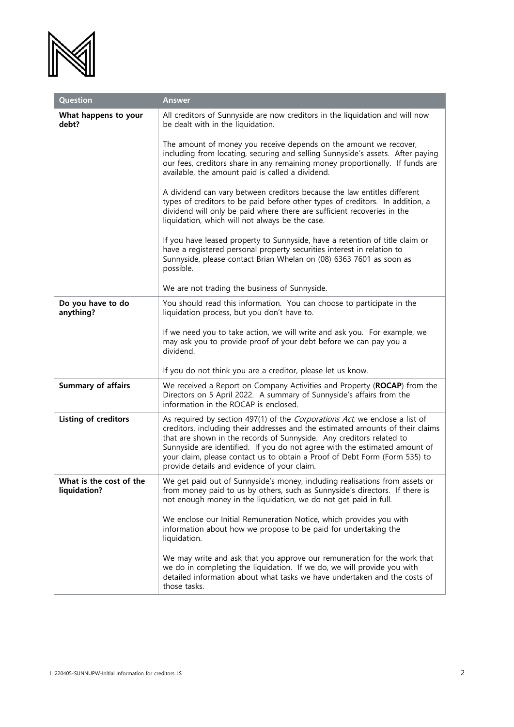

| Question                                | <b>Answer</b>                                                                                                                                                                                                                                                                                                                                                                                                                                    |
|-----------------------------------------|--------------------------------------------------------------------------------------------------------------------------------------------------------------------------------------------------------------------------------------------------------------------------------------------------------------------------------------------------------------------------------------------------------------------------------------------------|
| What happens to your<br>debt?           | All creditors of Sunnyside are now creditors in the liquidation and will now<br>be dealt with in the liquidation.                                                                                                                                                                                                                                                                                                                                |
|                                         | The amount of money you receive depends on the amount we recover,<br>including from locating, securing and selling Sunnyside's assets. After paying<br>our fees, creditors share in any remaining money proportionally. If funds are<br>available, the amount paid is called a dividend.                                                                                                                                                         |
|                                         | A dividend can vary between creditors because the law entitles different<br>types of creditors to be paid before other types of creditors. In addition, a<br>dividend will only be paid where there are sufficient recoveries in the<br>liquidation, which will not always be the case.                                                                                                                                                          |
|                                         | If you have leased property to Sunnyside, have a retention of title claim or<br>have a registered personal property securities interest in relation to<br>Sunnyside, please contact Brian Whelan on (08) 6363 7601 as soon as<br>possible.                                                                                                                                                                                                       |
|                                         | We are not trading the business of Sunnyside.                                                                                                                                                                                                                                                                                                                                                                                                    |
| Do you have to do<br>anything?          | You should read this information. You can choose to participate in the<br>liquidation process, but you don't have to.                                                                                                                                                                                                                                                                                                                            |
|                                         | If we need you to take action, we will write and ask you. For example, we<br>may ask you to provide proof of your debt before we can pay you a<br>dividend.                                                                                                                                                                                                                                                                                      |
|                                         | If you do not think you are a creditor, please let us know.                                                                                                                                                                                                                                                                                                                                                                                      |
| <b>Summary of affairs</b>               | We received a Report on Company Activities and Property (ROCAP) from the<br>Directors on 5 April 2022. A summary of Sunnyside's affairs from the<br>information in the ROCAP is enclosed.                                                                                                                                                                                                                                                        |
| Listing of creditors                    | As required by section 497(1) of the Corporations Act, we enclose a list of<br>creditors, including their addresses and the estimated amounts of their claims<br>that are shown in the records of Sunnyside. Any creditors related to<br>Sunnyside are identified. If you do not agree with the estimated amount of<br>your claim, please contact us to obtain a Proof of Debt Form (Form 535) to<br>provide details and evidence of your claim. |
| What is the cost of the<br>liquidation? | We get paid out of Sunnyside's money, including realisations from assets or<br>from money paid to us by others, such as Sunnyside's directors. If there is<br>not enough money in the liquidation, we do not get paid in full.                                                                                                                                                                                                                   |
|                                         | We enclose our Initial Remuneration Notice, which provides you with<br>information about how we propose to be paid for undertaking the<br>liquidation.                                                                                                                                                                                                                                                                                           |
|                                         | We may write and ask that you approve our remuneration for the work that<br>we do in completing the liquidation. If we do, we will provide you with<br>detailed information about what tasks we have undertaken and the costs of<br>those tasks.                                                                                                                                                                                                 |